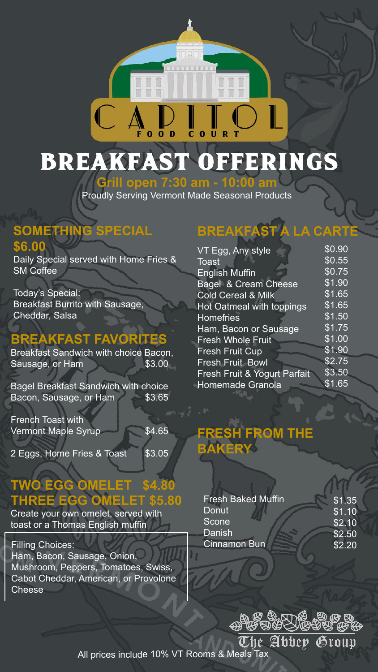

**Grill open 7:30 am - 10:00 am** Proudly Serving Vermont Made Seasonal Products

### **SOMETHING SPECIAL \$6.00**

Daily Special served with Home Fries & SM Coffee

Today's Special: Breakfast Burrito with Sausage, Cheddar, Salsa

## **BREAKFAST FAVORITES**

Breakfast Sandwich with choice Bacon, Sausage, or Ham \$3.00

Bagel Breakfast Sandwich with choice Bacon, Sausage, or Ham \$3.65

French Toast with Vermont Maple Syrup \$4.65

2 Eggs, Home Fries & Toast \$3.05

## **TWO EGG OMELET \$4.80 THREE EGG OMELET \$5.80**

Create your own omelet, served with toast or a Thomas English muffin

Filling Choices: Ham, Bacon, Sausage, Onion, Mushroom, Peppers, Tomatoes, Swiss, Cabot Cheddar, American, or Provolone Cheese

# **BREAKFAST A LA CART**

| VT Egg, Any style             | \$0.90 |
|-------------------------------|--------|
| <b>Toast</b>                  | \$0.55 |
| <b>English Muffin</b>         | \$0.75 |
| Bagel & Cream Cheese          | \$1.90 |
| <b>Cold Cereal &amp; Milk</b> | \$1.65 |
| Hot Oatmeal with toppings     | \$1.65 |
| <b>Homefries</b>              | \$1.50 |
| Ham, Bacon or Sausage         | \$1.75 |
| <b>Fresh Whole Fruit</b>      | \$1.00 |
| <b>Fresh Fruit Cup</b>        | \$1.90 |
| <b>Fresh Fruit Bowl</b>       | \$2.75 |
| Fresh Fruit & Yogurt Parfait  | \$3.50 |
| Homemade Granola              | \$1.65 |
|                               |        |

## **FROM THE BAKERY**

| \$1.35             |
|--------------------|
| $\overline{$1.10}$ |
| \$2.10             |
| \$2.50             |
| \$2.20             |
|                    |

 $\mathcal{B} \cong \mathbb{R}$ The Abbey Group

All prices include 10% VT Rooms & Meals Tax